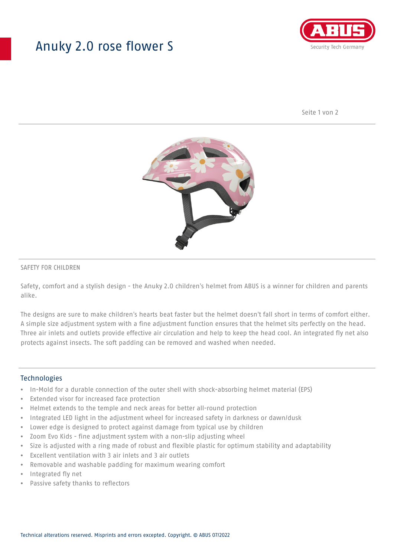## Anuky 2.0 rose flower S



Seite 1 von 2



### SAFETY FOR CHILDREN

Safety, comfort and a stylish design - the Anuky 2.0 children's helmet from ABUS is a winner for children and parents alike.

The designs are sure to make children's hearts beat faster but the helmet doesn't fall short in terms of comfort either. A simple size adjustment system with a fine adjustment function ensures that the helmet sits perfectly on the head. Three air inlets and outlets provide effective air circulation and help to keep the head cool. An integrated fly net also protects against insects. The soft padding can be removed and washed when needed.

### **Technologies**

- In-Mold for a durable connection of the outer shell with shock-absorbing helmet material (EPS)
- Extended visor for increased face protection
- Helmet extends to the temple and neck areas for better all-round protection
- Integrated LED light in the adjustment wheel for increased safety in darkness or dawn/dusk
- Lower edge is designed to protect against damage from typical use by children
- Zoom Evo Kids fine adjustment system with a non-slip adjusting wheel
- Size is adjusted with a ring made of robust and flexible plastic for optimum stability and adaptability
- Excellent ventilation with 3 air inlets and 3 air outlets
- Removable and washable padding for maximum wearing comfort
- Integrated fly net
- Passive safety thanks to reflectors